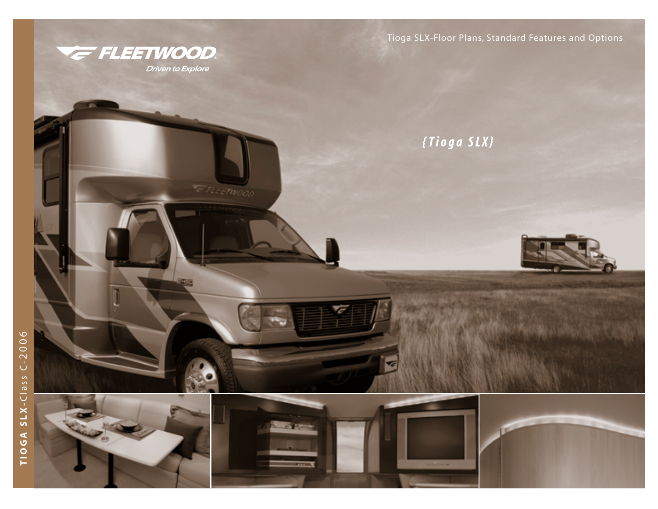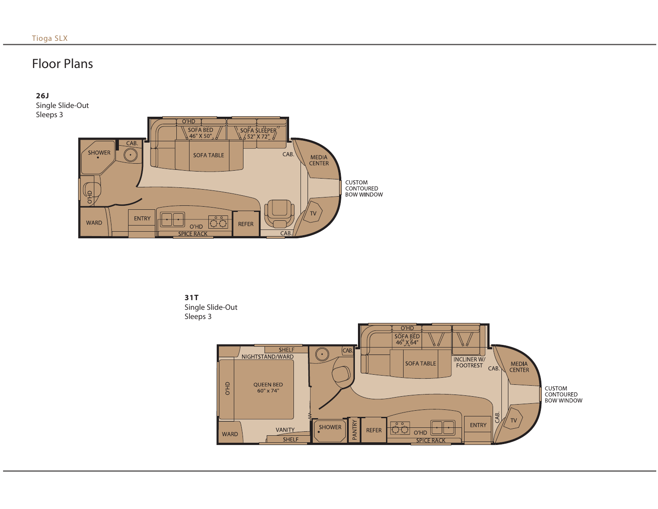# Floor Plans

### **26J**

Single Slide-Out Sleeps 3





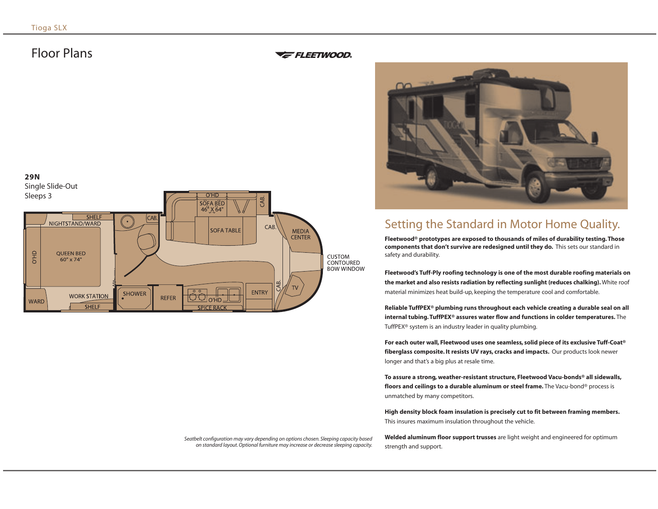## Floor Plans

### *FLEETWOOD*



# Setting the Standard in Motor Home Quality.

**Fleetwood® prototypes are exposed to thousands of miles of durability testing. Those components that don't survive are redesigned until they do.** This sets our standard in safety and durability.

**Fleetwood's Tuff-Ply roofing technology is one of the most durable roofing materials on the market and also resists radiation by reflecting sunlight (reduces chalking).** White roof material minimizes heat build-up, keeping the temperature cool and comfortable.

**Reliable TuffPEX® plumbing runs throughout each vehicle creating a durable seal on all internal tubing. TuffPEX® assures water flow and functions in colder temperatures.** The TuffPEX® system is an industry leader in quality plumbing.

**For each outer wall, Fleetwood uses one seamless, solid piece of its exclusive Tuff-Coat® fiberglass composite. It resists UV rays, cracks and impacts.** Our products look newer longer and that's a big plus at resale time.

**To assure a strong, weather-resistant structure, Fleetwood Vacu-bonds® all sidewalls, floors and ceilings to a durable aluminum or steel frame.** The Vacu-bond® process is unmatched by many competitors.

**High density block foam insulation is precisely cut to fit between framing members.** This insures maximum insulation throughout the vehicle.

*Seatbelt configuration may vary depending on options chosen. Sleeping capacity based on standard layout. Optional furniture may increase or decrease sleeping capacity.*

**Welded aluminum floor support trusses** are light weight and engineered for optimum strength and support.

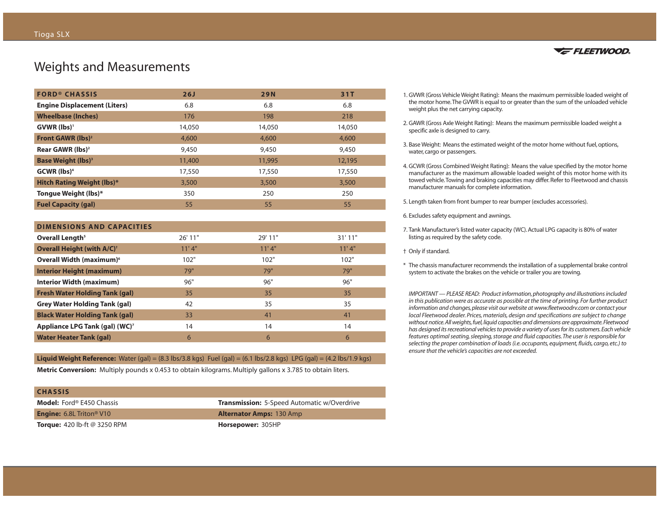## Weights and Measurements

| <b>FORD® CHASSIS</b>                  | 26J    | <b>29N</b> | 31T    |
|---------------------------------------|--------|------------|--------|
| <b>Engine Displacement (Liters)</b>   | 6.8    | 6.8        | 6.8    |
| <b>Wheelbase (Inches)</b>             | 176    | 198        | 218    |
| $GVWR$ (lbs) <sup>1</sup>             | 14,050 | 14,050     | 14,050 |
| Front GAWR (lbs) <sup>2</sup>         | 4,600  | 4,600      | 4,600  |
| Rear GAWR (lbs) <sup>2</sup>          | 9,450  | 9,450      | 9,450  |
| <b>Base Weight (lbs)</b> <sup>3</sup> | 11,400 | 11,995     | 12,195 |
| $GCWR$ (lbs) <sup>4</sup>             | 17,550 | 17,550     | 17,550 |
| <b>Hitch Rating Weight (lbs)*</b>     | 3,500  | 3,500      | 3,500  |
| Tongue Weight (lbs)*                  | 350    | 250        | 250    |
| <b>Fuel Capacity (gal)</b>            | 55     | 55         | 55     |

| <b>DIMENSIONS AND CAPACITIES</b>             |        |         |         |  |
|----------------------------------------------|--------|---------|---------|--|
| Overall Length <sup>5</sup>                  | 26'11" | 29' 11" | 31'11'' |  |
| <b>Overall Height (with A/C)<sup>+</sup></b> | 11'4"  | 11'4"   | 11'4"   |  |
| Overall Width (maximum) <sup>6</sup>         | 102"   | 102"    | 102"    |  |
| <b>Interior Height (maximum)</b>             | 79"    | 79"     | 79"     |  |
| <b>Interior Width (maximum)</b>              | 96"    | 96"     | 96"     |  |
| <b>Fresh Water Holding Tank (gal)</b>        | 35     | 35      | 35      |  |
| <b>Grey Water Holding Tank (gal)</b>         | 42     | 35      | 35      |  |
| <b>Black Water Holding Tank (gal)</b>        | 33     | 41      | 41      |  |
| Appliance LPG Tank (gal) (WC) <sup>7</sup>   | 14     | 14      | 14      |  |
| <b>Water Heater Tank (gal)</b>               | 6      | 6       | 6       |  |

**Liquid Weight Reference:** Water (gal) = (8.3 lbs/3.8 kgs) Fuel (gal) = (6.1 lbs/2.8 kgs) LPG (gal) = (4.2 lbs/1.9 kgs)

**Metric Conversion:** Multiply pounds x 0.453 to obtain kilograms. Multiply gallons x 3.785 to obtain liters.

| <b>CHASSIS</b>                              |                                                    |
|---------------------------------------------|----------------------------------------------------|
| <b>Model:</b> Ford® E450 Chassis            | <b>Transmission:</b> 5-Speed Automatic w/Overdrive |
| <b>Engine:</b> 6.8L Triton <sup>®</sup> V10 | <b>Alternator Amps: 130 Amp</b>                    |
| <b>Torque:</b> 420 lb-ft $@$ 3250 RPM       | Horsepower: 305HP                                  |



- 1. GVWR (Gross Vehicle Weight Rating): Means the maximum permissible loaded weight of the motor home.The GVWR is equal to or greater than the sum of the unloaded vehicle weight plus the net carrying capacity.
- 2. GAWR (Gross Axle Weight Rating): Means the maximum permissible loaded weight a specific axle is designed to carry.
- 3. Base Weight: Means the estimated weight of the motor home without fuel, options, water, cargo or passengers.
- 4. GCWR (Gross Combined Weight Rating): Means the value specified by the motor home manufacturer as the maximum allowable loaded weight of this motor home with its towed vehicle.Towing and braking capacities may differ. Refer to Fleetwood and chassis manufacturer manuals for complete information.
- 5. Length taken from front bumper to rear bumper (excludes accessories).

6. Excludes safety equipment and awnings.

- 7. Tank Manufacturer's listed water capacity (WC). Actual LPG capacity is 80% of water listing as required by the safety code.
- † Only if standard.
- \* The chassis manufacturer recommends the installation of a supplemental brake control system to activate the brakes on the vehicle or trailer you are towing.

*IMPORTANT — PLEASE READ: Product information, photography and illustrations included in this publication were as accurate as possible at the time of printing. For further product information and changes, please visit our website at www.fleetwoodrv.com or contact your local Fleetwood dealer. Prices, materials, design and specifications are subject to change without notice.All weights, fuel, liquid capacities and dimensions are approximate.Fleetwood has designed its recreational vehicles to provide a variety of uses for its customers.Each vehicle features optimal seating, sleeping, storage and fluid capacities.The user is responsible for selecting the proper combination of loads (i.e. occupants, equipment, fluids, cargo, etc.) to ensure that the vehicle's capacities are not exceeded.*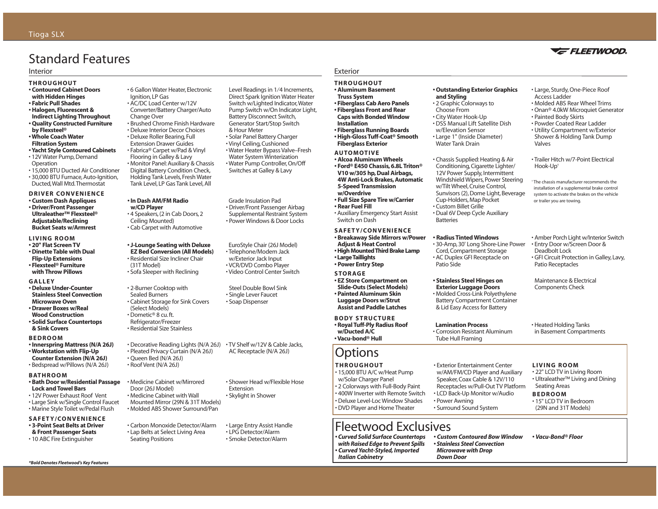# Standard Features

#### Interior

### **THROUGHOUT • Contoured Cabinet Doors**

- **with Hidden Hinges • Fabric Pull Shades**
- **Halogen, Fluorescent &**
- **Indirect Lighting Throughout**
- **Quality Constructed Furniture by Flexsteel®**
- **Whole Coach Water**
- **Filtration System • Yacht Style Contoured Cabinets**
- 12V Water Pump, Demand **Operation**
- 15,000 BTU Ducted Air Conditioner • 30,000 BTU Furnace, Auto-Ignition, Ducted,Wall Mtd.Thermostat

### **DRIVER CONVENIENCE**

- **Custom Dash Appliques • Driver/Front Passenger Ultraleather™ Flexsteel® Adjustable/Reclining Bucket Seats w/Armrest**
- **LIVING ROOM**
- **20" Flat Screen TV • Dinette Table with Dual**
- **Flip-Up Extensions • Flexsteel® Furniture with Throw Pillows**

### **GALLEY**

- **Deluxe Under-Counter Stainless Steel Convection Microwave Oven**
- **Drawer Boxes w/Real Wood Construction**
- **Solid Surface Countertops & Sink Covers**
- **BEDROOM**
- **Innerspring Mattress (N/A 26J)**
- **Workstation with Flip-Up**
- **Counter Extension (N/A 26J)** • Bedspread w/Pillows (N/A 26J)

### **BATHROOM**

- **Bath Door w/Residential Passage Lock and Towel Bars**
- 12V Power Exhaust Roof Vent
- Large Sink w/Single Control Faucet • Marine Style Toilet w/Pedal Flush

#### **SAFETY/CONVENIENCE • 3-Point Seat Belts at Driver**

*\*Bold Denotes Fleetwood's Key Features*

- **& Front Passenger Seats**
- 10 ABC Fire Extinguisher

• 6 Gallon Water Heater, Electronic Ignition, LP Gas • AC/DC Load Center w/12V

- Converter/Battery Charger/Auto
- Change Over
- Brushed Chrome Finish Hardware
- Deluxe Interior Decor Choices • Deluxe Roller Bearing, Full
- Extension Drawer Guides
- Fabrica® Carpet w/Pad & Vinyl Flooring in Galley & Lavy • Monitor Panel: Auxiliary & Chassis Digital Battery Condition Check,
- Holding Tank Levels, Fresh Water Tank Level, LP Gas Tank Level, All

### **• In Dash AM/FM Radio w/CD Player**

• 4 Speakers, (2 in Cab Doors, 2 Ceiling Mounted) • Cab Carpet with Automotive

### **• J-Lounge Seating with Deluxe**

**EZ Bed Conversion (All Models)** • Residential Size Incliner Chair (31T Model) • Sofa Sleeper with Reclining

### • 2-Burner Cooktop with Sealed Burners

- Cabinet Storage for Sink Covers (Select Models)
- Dometic® 8 cu. ft. Refrigerator/Freezer
- Residential Size Stainless
- Decorative Reading Lights (N/A 26J) TV Shelf w/12V & Cable Jacks, • Pleated Privacy Curtain (N/A 26J) • Queen Bed (N/A 26J) • Roof Vent (N/A 26J)
- 
- Medicine Cabinet w/Mirrored Door (26J Model)
- Medicine Cabinet with Wall Mounted Mirror (29N & 31T Models) • Molded ABS Shower Surround/Pan
- Carbon Monoxide Detector/Alarm • Lap Belts at Select Living Area Seating Positions

Level Readings in 1⁄4 Increments, Direct Spark Ignition Water Heater Switch w/Lighted Indicator,Water Pump Switch w/On Indicator Light, Battery Disconnect Switch, Generator Start/Stop Switch & Hour Meter • Solar Panel Battery Charger • Vinyl Ceiling, Cushioned • Water Heater Bypass Valve–Fresh Water System Winterization • Water Pump Controller, On/Off Switches at Galley & Lavy

Grade Insulation Pad • Driver/Front Passenger Airbag Supplemental Restraint System • Power Windows & Door Locks

EuroStyle Chair (26J Model) • Telephone/Modem Jack w/Exterior Jack Input • VCR/DVD Combo Player • Video Control Center Switch

Steel Double Bowl Sink • Single Lever Faucet • Soap Dispenser

AC Receptacle (N/A 26J)

• Shower Head w/Flexible Hose

• Large Entry Assist Handle • LPG Detector/Alarm • Smoke Detector/Alarm

Extension • Skylight in Shower Exterior

### **THROUGHOUT**

- **Aluminum Basement Truss System • Fiberglass Cab Aero Panels • Fiberglass Front and Rear Caps with Bonded Window Installation • Fiberglass Running Boards • High-Gloss Tuff-Coat® Smooth**
- **Fiberglass Exterior**
- **AUTOMOTIVE • Alcoa Aluminum Wheels • Ford® E450 Chassis, 6.8L Triton® V10 w/305 hp, Dual Airbags, 4W Anti-Lock Brakes, Automatic 5-Speed Transmission w/Overdrive**
- **Full Size Spare Tire w/Carrier**
- **Rear Fuel Fill**
- **SAFETY/CONVENIENCE • Breakaway Side Mirrors w/Power Adjust & Heat Control** • Auxiliary Emergency Start Assist Switch on Dash
- **High Mounted Third Brake Lamp • Large Taillights • Power Entry Step**
- **STORAGE • EZ Store Compartment on Slide-Outs (Select Models)**
- **Painted Aluminum Skin Luggage Doors w/Strut Assist and Paddle Latches**

**BODY STRUCTURE • Royal Tuff-Ply Radius Roof w/Ducted A/C • Vacu-bond® Hull** 

# **Options**

### **THROUGHOUT**

• 15,000 BTU A/C w/Heat Pump w/Solar Charger Panel • 2 Colorways with Full-Body Paint • 400W Inverter with Remote Switch • Deluxe Level-Loc Window Shades • DVD Player and Home Theater

# Fleetwood Exclusives

*• Curved Solid Surface Countertops with Raised Edge to Prevent Spills • Curved Yacht-Styled, Imported Italian Cabinetry*

#### **• Outstanding Exterior Graphics and Styling**

- 2 Graphic Colorways to Choose From
- City Water Hook-Up
- DSS Manual Lift Satellite Dish
- w/Elevation Sensor • Large 1" (Inside Diameter)
- Water Tank Drain

• Chassis Supplied: Heating & Air Conditioning, Cigarette Lighter/ 12V Power Supply, Intermittent Windshield Wipers, Power Steering w/Tilt Wheel, Cruise Control, Sunvisors (2), Dome Light, Beverage Cup-Holders, Map Pocket • Custom Billet Grille • Dual 6V Deep Cycle Auxiliary

# Batteries

**• Radius Tinted Windows** • 30-Amp, 30' Long Shore-Line Power Cord, Compartment Storage • AC Duplex GFI Receptacle on Patio Side

### **• Stainless Steel Hinges on**

**Exterior Luggage Doors** • Molded Cross-Link Polyethylene Battery Compartment Container & Lid Easy Access for Battery

### **Lamination Process**

• Corrosion Resistant Aluminum Tube Hull Framing

• Exterior Entertainment Center w/AM/FM/CD Player and Auxiliary Speaker, Coax Cable & 12V/110 Receptacles w/Pull-Out TV Platform • LCD Back-Up Monitor w/Audio

### **LIVING ROOM**

• 22" LCD TV in Living Room • Ultraleather™ Living and Dining Seating Areas

### **BEDROOM**

• 15" LCD TV in Bedroom (29N and 31T Models)

*• Stainless Steel Convection*

• Power Awning • Surround Sound System

- *Custom Contoured Bow Window Microwave with Drop Down Door • Vacu-Bond® Floor*
- 

• Heated Holding Tanks in Basement Compartments

Deadbolt Lock

Patio Receptacles

or trailer you are towing.

Maintenance & Electrical Components Check

- Large, Sturdy, One-Piece Roof Access Ladder
- Molded ABS Rear Wheel Trims • Onan® 4.0kW Microquiet Generator

**VE FLEETWOOD** 

• Painted Body Skirts

Hook-Up†

- Powder Coated Rear Ladder
- Utility Compartment w/Exterior Shower & Holding Tank Dump Valves

• Trailer Hitch w/7-Point Electrical

† The chassis manufacturer recommends the installation of a supplemental brake control system to activate the brakes on the vehicle

• Amber Porch Light w/Interior Switch • Entry Door w/Screen Door &

• GFI Circuit Protection in Galley, Lavy,